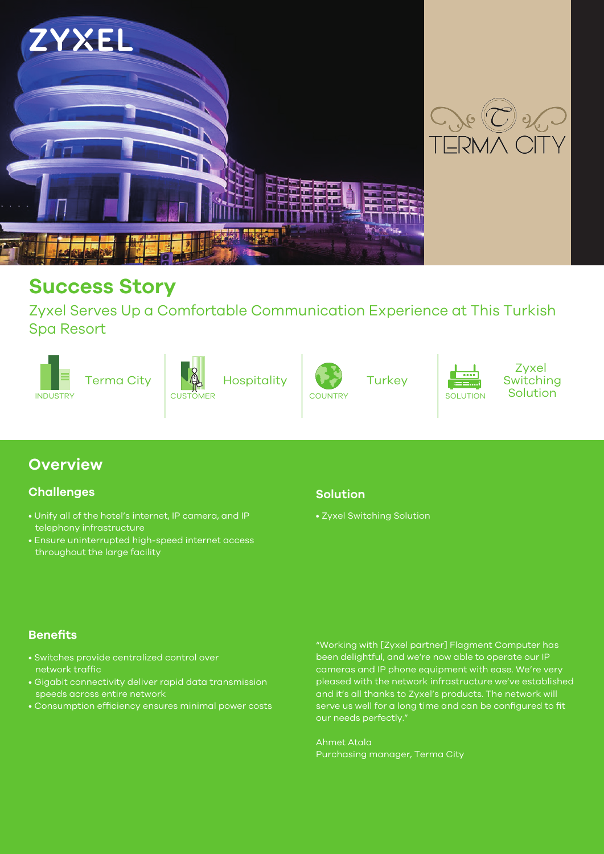

## **Success Story**

Zyxel Serves Up a Comfortable Communication Experience at This Turkish Spa Resort



## **Overview**

#### **Challenges**

- Unify all of the hotel's internet, IP camera, and IP telephony infrastructure
- Ensure uninterrupted high-speed internet access throughout the large facility

#### **Solution**

• Zyxel Switching Solution

#### **Benefits**

- Switches provide centralized control over network traffic
- Gigabit connectivity deliver rapid data transmission speeds across entire network
- Consumption efficiency ensures minimal power costs

"Working with [Zyxel partner] Flagment Computer has been delightful, and we're now able to operate our IP cameras and IP phone equipment with ease. We're very pleased with the network infrastructure we've established and it's all thanks to Zyxel's products. The network will serve us well for a long time and can be configured to fit our needs perfectly."

Ahmet Atala Purchasing manager, Terma City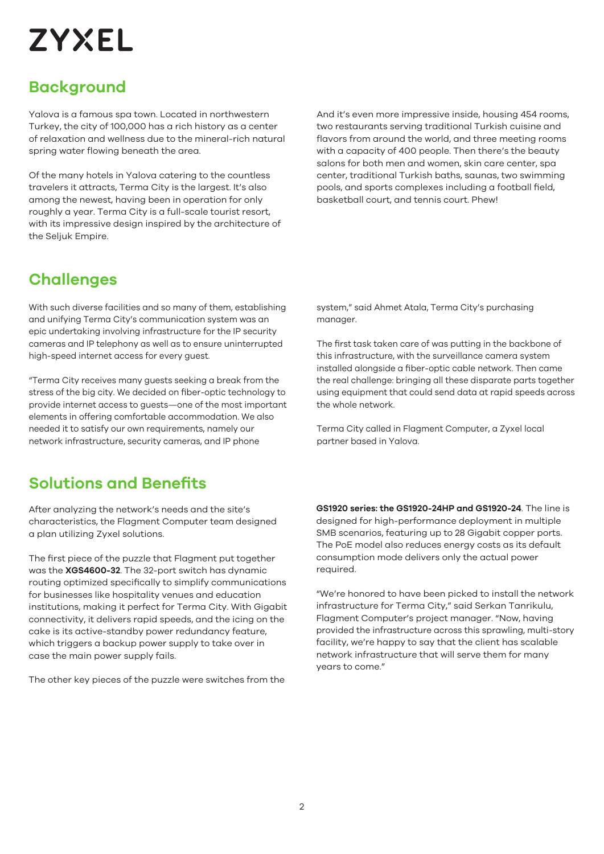# **ZYXEL**

## **Background**

Yalova is a famous spa town. Located in northwestern Turkey, the city of 100,000 has a rich history as a center of relaxation and wellness due to the mineral-rich natural spring water flowing beneath the area.

Of the many hotels in Yalova catering to the countless travelers it attracts, Terma City is the largest. It's also among the newest, having been in operation for only roughly a year. Terma City is a full-scale tourist resort, with its impressive design inspired by the architecture of the Seljuk Empire.

And it's even more impressive inside, housing 454 rooms, two restaurants serving traditional Turkish cuisine and flavors from around the world, and three meeting rooms with a capacity of 400 people. Then there's the beauty salons for both men and women, skin care center, spa center, traditional Turkish baths, saunas, two swimming pools, and sports complexes including a football field, basketball court, and tennis court. Phew!

## **Challenges**

With such diverse facilities and so many of them, establishing and unifying Terma City's communication system was an epic undertaking involving infrastructure for the IP security cameras and IP telephony as well as to ensure uninterrupted high-speed internet access for every guest.

"Terma City receives many guests seeking a break from the stress of the big city. We decided on fiber-optic technology to provide internet access to guests—one of the most important elements in offering comfortable accommodation. We also needed it to satisfy our own requirements, namely our network infrastructure, security cameras, and IP phone

## **Solutions and Benefits**

After analyzing the network's needs and the site's characteristics, the Flagment Computer team designed a plan utilizing Zyxel solutions.

The first piece of the puzzle that Flagment put together was the **XGS4600-32**. The 32-port switch has dynamic routing optimized specifically to simplify communications for businesses like hospitality venues and education institutions, making it perfect for Terma City. With Gigabit connectivity, it delivers rapid speeds, and the icing on the cake is its active-standby power redundancy feature, which triggers a backup power supply to take over in case the main power supply fails.

The other key pieces of the puzzle were switches from the

system," said Ahmet Atala, Terma City's purchasing manager.

The first task taken care of was putting in the backbone of this infrastructure, with the surveillance camera system installed alongside a fiber-optic cable network. Then came the real challenge: bringing all these disparate parts together using equipment that could send data at rapid speeds across the whole network.

Terma City called in Flagment Computer, a Zyxel local partner based in Yalova.

**GS1920 series: the GS1920-24HP and GS1920-24**. The line is designed for high-performance deployment in multiple SMB scenarios, featuring up to 28 Gigabit copper ports. The PoE model also reduces energy costs as its default consumption mode delivers only the actual power required.

"We're honored to have been picked to install the network infrastructure for Terma City," said Serkan Tanrikulu, Flagment Computer's project manager. "Now, having provided the infrastructure across this sprawling, multi-story facility, we're happy to say that the client has scalable network infrastructure that will serve them for many years to come."